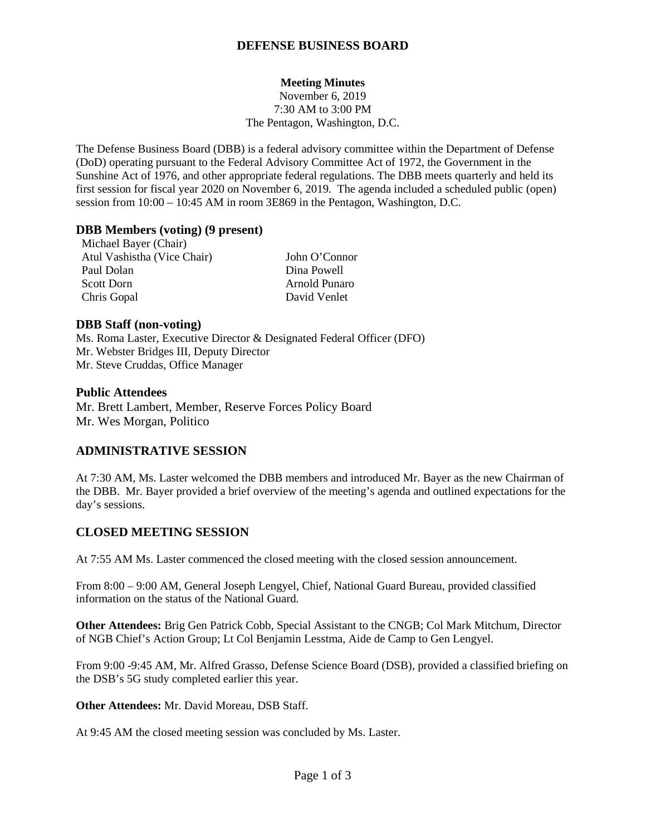## **DEFENSE BUSINESS BOARD**

### **Meeting Minutes**

November 6, 2019 7:30 AM to 3:00 PM The Pentagon, Washington, D.C.

The Defense Business Board (DBB) is a federal advisory committee within the Department of Defense (DoD) operating pursuant to the Federal Advisory Committee Act of 1972, the Government in the Sunshine Act of 1976, and other appropriate federal regulations. The DBB meets quarterly and held its first session for fiscal year 2020 on November 6, 2019. The agenda included a scheduled public (open) session from 10:00 – 10:45 AM in room 3E869 in the Pentagon, Washington, D.C.

#### **DBB Members (voting) (9 present)**

Michael Bayer (Chair) Atul Vashistha (Vice Chair) John O'Connor Paul Dolan Dina Powell Scott Dorn Arnold Punaro Chris Gopal David Venlet

#### **DBB Staff (non-voting)**

Ms. Roma Laster, Executive Director & Designated Federal Officer (DFO) Mr. Webster Bridges III, Deputy Director Mr. Steve Cruddas, Office Manager

#### **Public Attendees**

Mr. Brett Lambert, Member, Reserve Forces Policy Board Mr. Wes Morgan, Politico

### **ADMINISTRATIVE SESSION**

At 7:30 AM, Ms. Laster welcomed the DBB members and introduced Mr. Bayer as the new Chairman of the DBB. Mr. Bayer provided a brief overview of the meeting's agenda and outlined expectations for the day's sessions.

# **CLOSED MEETING SESSION**

At 7:55 AM Ms. Laster commenced the closed meeting with the closed session announcement.

From 8:00 – 9:00 AM, General Joseph Lengyel, Chief, National Guard Bureau, provided classified information on the status of the National Guard.

**Other Attendees:** Brig Gen Patrick Cobb, Special Assistant to the CNGB; Col Mark Mitchum, Director of NGB Chief's Action Group; Lt Col Benjamin Lesstma, Aide de Camp to Gen Lengyel.

From 9:00 -9:45 AM, Mr. Alfred Grasso, Defense Science Board (DSB), provided a classified briefing on the DSB's 5G study completed earlier this year.

**Other Attendees:** Mr. David Moreau, DSB Staff.

At 9:45 AM the closed meeting session was concluded by Ms. Laster.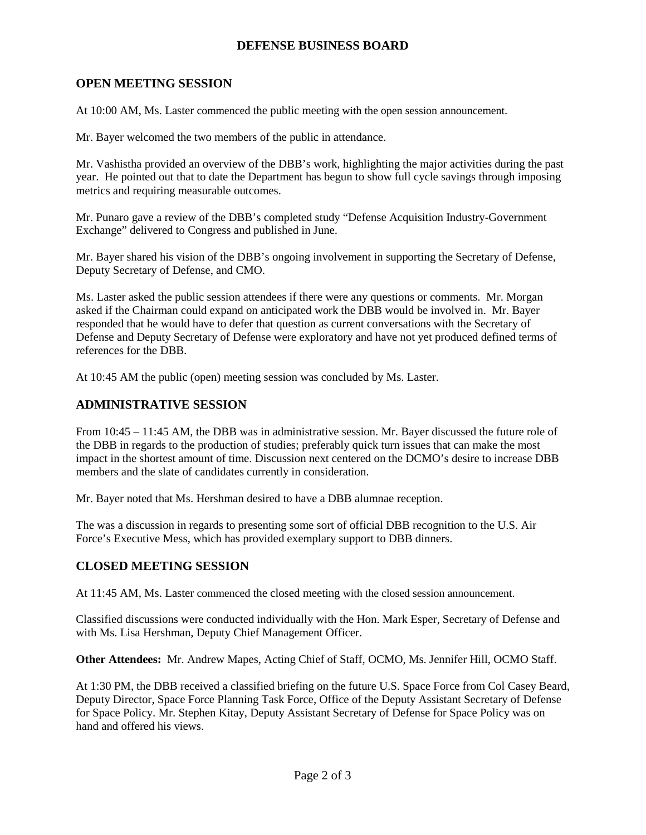## **DEFENSE BUSINESS BOARD**

# **OPEN MEETING SESSION**

At 10:00 AM, Ms. Laster commenced the public meeting with the open session announcement.

Mr. Bayer welcomed the two members of the public in attendance.

Mr. Vashistha provided an overview of the DBB's work, highlighting the major activities during the past year. He pointed out that to date the Department has begun to show full cycle savings through imposing metrics and requiring measurable outcomes.

Mr. Punaro gave a review of the DBB's completed study "Defense Acquisition Industry-Government Exchange" delivered to Congress and published in June.

Mr. Bayer shared his vision of the DBB's ongoing involvement in supporting the Secretary of Defense, Deputy Secretary of Defense, and CMO.

Ms. Laster asked the public session attendees if there were any questions or comments. Mr. Morgan asked if the Chairman could expand on anticipated work the DBB would be involved in. Mr. Bayer responded that he would have to defer that question as current conversations with the Secretary of Defense and Deputy Secretary of Defense were exploratory and have not yet produced defined terms of references for the DBB.

At 10:45 AM the public (open) meeting session was concluded by Ms. Laster.

## **ADMINISTRATIVE SESSION**

From 10:45 – 11:45 AM, the DBB was in administrative session. Mr. Bayer discussed the future role of the DBB in regards to the production of studies; preferably quick turn issues that can make the most impact in the shortest amount of time. Discussion next centered on the DCMO's desire to increase DBB members and the slate of candidates currently in consideration.

Mr. Bayer noted that Ms. Hershman desired to have a DBB alumnae reception.

The was a discussion in regards to presenting some sort of official DBB recognition to the U.S. Air Force's Executive Mess, which has provided exemplary support to DBB dinners.

# **CLOSED MEETING SESSION**

At 11:45 AM, Ms. Laster commenced the closed meeting with the closed session announcement.

Classified discussions were conducted individually with the Hon. Mark Esper, Secretary of Defense and with Ms. Lisa Hershman, Deputy Chief Management Officer.

**Other Attendees:** Mr. Andrew Mapes, Acting Chief of Staff, OCMO, Ms. Jennifer Hill, OCMO Staff.

At 1:30 PM, the DBB received a classified briefing on the future U.S. Space Force from Col Casey Beard, Deputy Director, Space Force Planning Task Force, Office of the Deputy Assistant Secretary of Defense for Space Policy. Mr. Stephen Kitay, Deputy Assistant Secretary of Defense for Space Policy was on hand and offered his views.